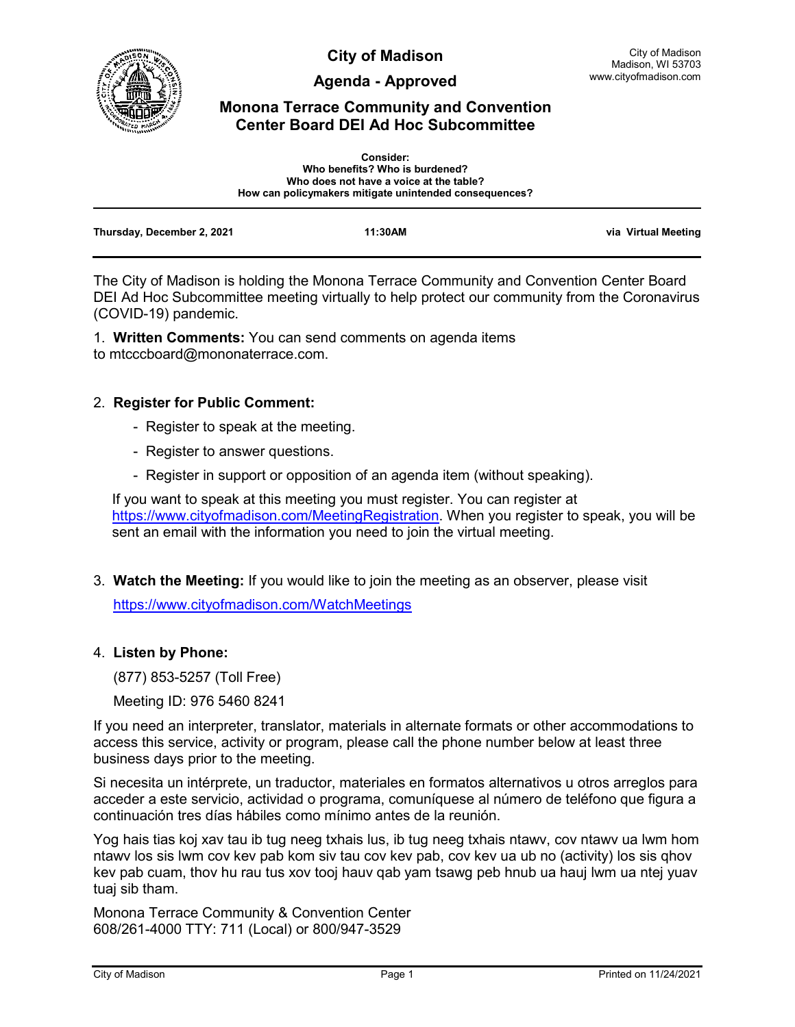

**City of Madison**

**Agenda - Approved**

# **Monona Terrace Community and Convention Center Board DEI Ad Hoc Subcommittee**

|                            | <b>Consider:</b><br>Who benefits? Who is burdened?<br>Who does not have a voice at the table?<br>How can policymakers mitigate unintended consequences? |                     |
|----------------------------|---------------------------------------------------------------------------------------------------------------------------------------------------------|---------------------|
| Thursday, December 2, 2021 | 11:30AM                                                                                                                                                 | via Virtual Meeting |

The City of Madison is holding the Monona Terrace Community and Convention Center Board DEI Ad Hoc Subcommittee meeting virtually to help protect our community from the Coronavirus (COVID-19) pandemic.

1. **Written Comments:** You can send comments on agenda items to mtcccboard@mononaterrace.com.

## 2. **Register for Public Comment:**

- Register to speak at the meeting.
- Register to answer questions.
- Register in support or opposition of an agenda item (without speaking).

If you want to speak at this meeting you must register. You can register at [https://www.cityofmadison.com/MeetingRegistration.](https://www.cityofmadison.com/MeetingRegistration) When you register to speak, you will be sent an email with the information you need to join the virtual meeting.

3. **Watch the Meeting:** If you would like to join the meeting as an observer, please visit <https://www.cityofmadison.com/WatchMeetings>

## 4. **Listen by Phone:**

(877) 853-5257 (Toll Free)

Meeting ID: 976 5460 8241

If you need an interpreter, translator, materials in alternate formats or other accommodations to access this service, activity or program, please call the phone number below at least three business days prior to the meeting.

Si necesita un intérprete, un traductor, materiales en formatos alternativos u otros arreglos para acceder a este servicio, actividad o programa, comuníquese al número de teléfono que figura a continuación tres días hábiles como mínimo antes de la reunión.

Yog hais tias koj xav tau ib tug neeg txhais lus, ib tug neeg txhais ntawv, cov ntawv ua lwm hom ntawv los sis lwm cov kev pab kom siv tau cov kev pab, cov kev ua ub no (activity) los sis qhov kev pab cuam, thov hu rau tus xov tooj hauv qab yam tsawg peb hnub ua hauj lwm ua ntej yuav tuaj sib tham.

Monona Terrace Community & Convention Center 608/261-4000 TTY: 711 (Local) or 800/947-3529